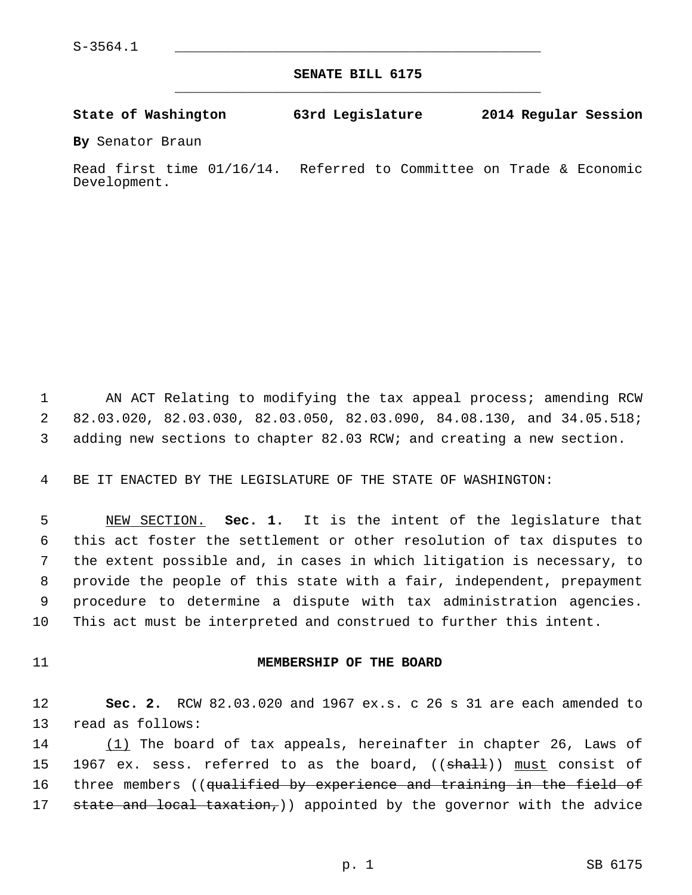**SENATE BILL 6175** \_\_\_\_\_\_\_\_\_\_\_\_\_\_\_\_\_\_\_\_\_\_\_\_\_\_\_\_\_\_\_\_\_\_\_\_\_\_\_\_\_\_\_\_\_

**State of Washington 63rd Legislature 2014 Regular Session**

**By** Senator Braun

Read first time 01/16/14. Referred to Committee on Trade & Economic Development.

 1 AN ACT Relating to modifying the tax appeal process; amending RCW 2 82.03.020, 82.03.030, 82.03.050, 82.03.090, 84.08.130, and 34.05.518; 3 adding new sections to chapter 82.03 RCW; and creating a new section.

4 BE IT ENACTED BY THE LEGISLATURE OF THE STATE OF WASHINGTON:

 5 NEW SECTION. **Sec. 1.** It is the intent of the legislature that 6 this act foster the settlement or other resolution of tax disputes to 7 the extent possible and, in cases in which litigation is necessary, to 8 provide the people of this state with a fair, independent, prepayment 9 procedure to determine a dispute with tax administration agencies. 10 This act must be interpreted and construed to further this intent.

### 11 **MEMBERSHIP OF THE BOARD**

12 **Sec. 2.** RCW 82.03.020 and 1967 ex.s. c 26 s 31 are each amended to 13 read as follows:

14 (1) The board of tax appeals, hereinafter in chapter 26, Laws of 15 1967 ex. sess. referred to as the board, ((shall)) must consist of 16 three members ((qualified by experience and training in the field of 17 state and local taxation,) appointed by the governor with the advice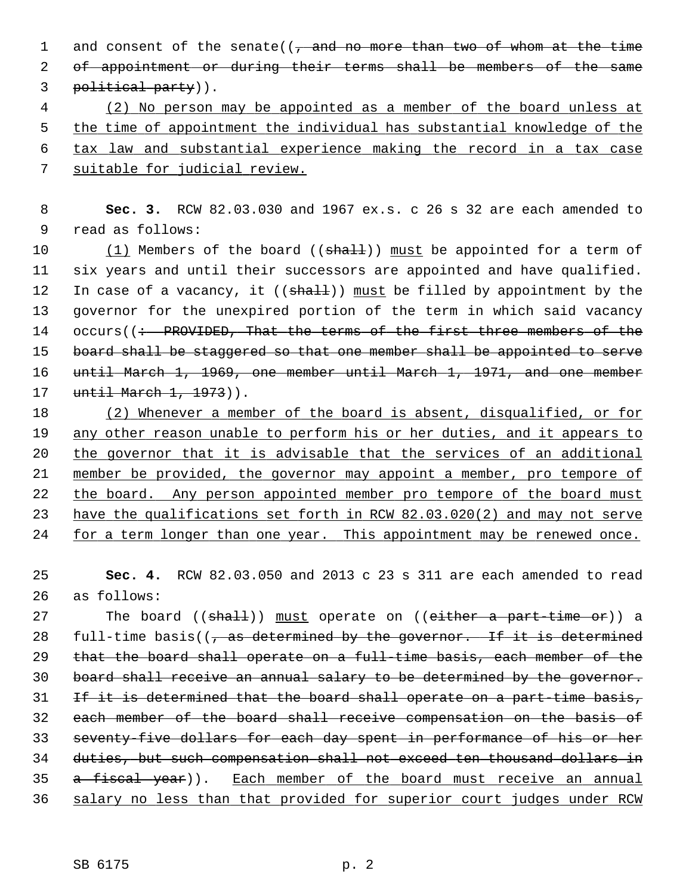1 and consent of the senate( $\left(\frac{1}{2}, \frac{1}{2}, \frac{1}{2}\right)$  and  $\frac{1}{2}$  and  $\frac{1}{2}$  and  $\frac{1}{2}$  and  $\frac{1}{2}$  and  $\frac{1}{2}$  and  $\frac{1}{2}$  and  $\frac{1}{2}$  and  $\frac{1}{2}$  and  $\frac{1}{2}$  and  $\frac{1}{2}$  and  $\frac{1}{2}$  and  $\frac{1}{2$ 2 of appointment or during their terms shall be members of the same 3 political party)).

 (2) No person may be appointed as a member of the board unless at the time of appointment the individual has substantial knowledge of the tax law and substantial experience making the record in a tax case suitable for judicial review.

 8 **Sec. 3.** RCW 82.03.030 and 1967 ex.s. c 26 s 32 are each amended to 9 read as follows:

10  $(1)$  Members of the board (( $shall$ )) must be appointed for a term of 11 six years and until their successors are appointed and have qualified. 12 In case of a vacancy, it  $((shaH))$  must be filled by appointment by the 13 governor for the unexpired portion of the term in which said vacancy 14 occurs((: PROVIDED, That the terms of the first three members of the 15 board shall be staggered so that one member shall be appointed to serve 16 until March 1, 1969, one member until March 1, 1971, and one member 17 until March 1, 1973)).

 (2) Whenever a member of the board is absent, disqualified, or for any other reason unable to perform his or her duties, and it appears to the governor that it is advisable that the services of an additional member be provided, the governor may appoint a member, pro tempore of the board. Any person appointed member pro tempore of the board must have the qualifications set forth in RCW 82.03.020(2) and may not serve for a term longer than one year. This appointment may be renewed once.

25 **Sec. 4.** RCW 82.03.050 and 2013 c 23 s 311 are each amended to read 26 as follows:

27 The board ((shall)) must operate on ((either a part-time or)) a 28 full-time basis( $\sqrt{7}$  as determined by the governor. If it is determined 29 that the board shall operate on a full-time basis, each member of the 30 board shall receive an annual salary to be determined by the governor. 31 If it is determined that the board shall operate on a part-time basis, 32 each member of the board shall receive compensation on the basis of 33 seventy-five dollars for each day spent in performance of his or her 34 duties, but such compensation shall not exceed ten thousand dollars in 35 a fiscal year)). Each member of the board must receive an annual 36 salary no less than that provided for superior court judges under RCW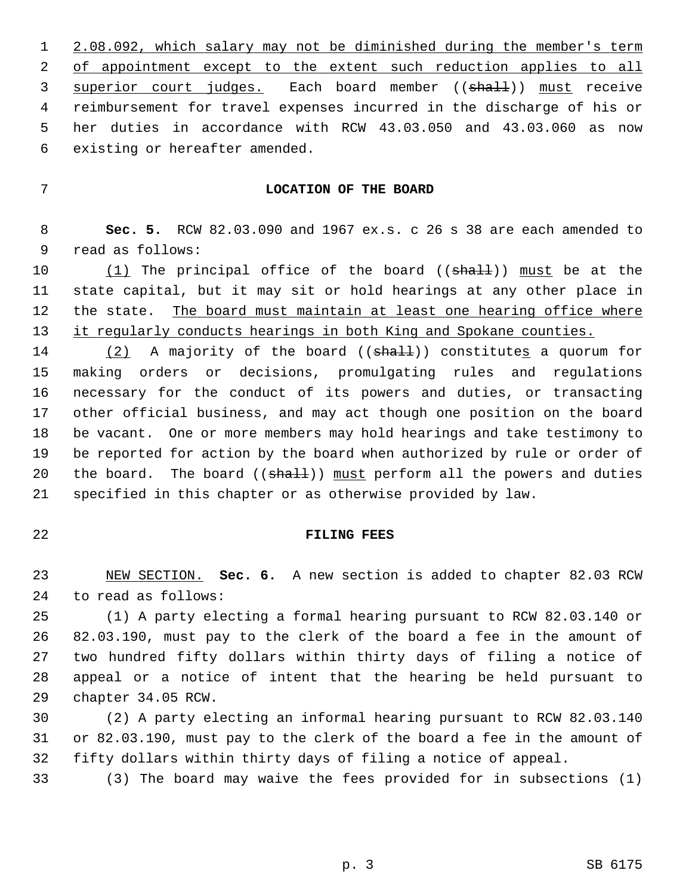1 2.08.092, which salary may not be diminished during the member's term 2 of appointment except to the extent such reduction applies to all 3 superior court judges. Each board member ((shall)) must receive 4 reimbursement for travel expenses incurred in the discharge of his or 5 her duties in accordance with RCW 43.03.050 and 43.03.060 as now 6 existing or hereafter amended.

# 7 **LOCATION OF THE BOARD**

 8 **Sec. 5.** RCW 82.03.090 and 1967 ex.s. c 26 s 38 are each amended to 9 read as follows:

10  $(1)$  The principal office of the board  $((shall))$  must be at the 11 state capital, but it may sit or hold hearings at any other place in 12 the state. The board must maintain at least one hearing office where 13 it regularly conducts hearings in both King and Spokane counties.

14 (2) A majority of the board ((shall)) constitutes a quorum for 15 making orders or decisions, promulgating rules and regulations 16 necessary for the conduct of its powers and duties, or transacting 17 other official business, and may act though one position on the board 18 be vacant. One or more members may hold hearings and take testimony to 19 be reported for action by the board when authorized by rule or order of 20 the board. The board ( $(\text{shalt})$ ) must perform all the powers and duties 21 specified in this chapter or as otherwise provided by law.

#### 22 **FILING FEES**

23 NEW SECTION. **Sec. 6.** A new section is added to chapter 82.03 RCW 24 to read as follows:

25 (1) A party electing a formal hearing pursuant to RCW 82.03.140 or 26 82.03.190, must pay to the clerk of the board a fee in the amount of 27 two hundred fifty dollars within thirty days of filing a notice of 28 appeal or a notice of intent that the hearing be held pursuant to 29 chapter 34.05 RCW.

30 (2) A party electing an informal hearing pursuant to RCW 82.03.140 31 or 82.03.190, must pay to the clerk of the board a fee in the amount of 32 fifty dollars within thirty days of filing a notice of appeal.

33 (3) The board may waive the fees provided for in subsections (1)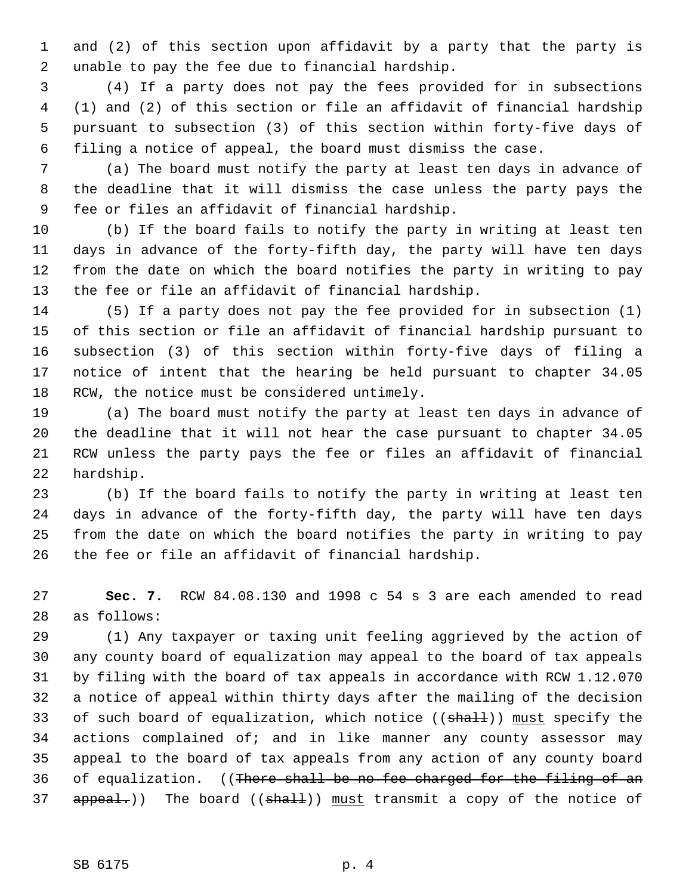1 and (2) of this section upon affidavit by a party that the party is 2 unable to pay the fee due to financial hardship.

 3 (4) If a party does not pay the fees provided for in subsections 4 (1) and (2) of this section or file an affidavit of financial hardship 5 pursuant to subsection (3) of this section within forty-five days of 6 filing a notice of appeal, the board must dismiss the case.

 7 (a) The board must notify the party at least ten days in advance of 8 the deadline that it will dismiss the case unless the party pays the 9 fee or files an affidavit of financial hardship.

10 (b) If the board fails to notify the party in writing at least ten 11 days in advance of the forty-fifth day, the party will have ten days 12 from the date on which the board notifies the party in writing to pay 13 the fee or file an affidavit of financial hardship.

14 (5) If a party does not pay the fee provided for in subsection (1) 15 of this section or file an affidavit of financial hardship pursuant to 16 subsection (3) of this section within forty-five days of filing a 17 notice of intent that the hearing be held pursuant to chapter 34.05 18 RCW, the notice must be considered untimely.

19 (a) The board must notify the party at least ten days in advance of 20 the deadline that it will not hear the case pursuant to chapter 34.05 21 RCW unless the party pays the fee or files an affidavit of financial 22 hardship.

23 (b) If the board fails to notify the party in writing at least ten 24 days in advance of the forty-fifth day, the party will have ten days 25 from the date on which the board notifies the party in writing to pay 26 the fee or file an affidavit of financial hardship.

27 **Sec. 7.** RCW 84.08.130 and 1998 c 54 s 3 are each amended to read 28 as follows:

29 (1) Any taxpayer or taxing unit feeling aggrieved by the action of 30 any county board of equalization may appeal to the board of tax appeals 31 by filing with the board of tax appeals in accordance with RCW 1.12.070 32 a notice of appeal within thirty days after the mailing of the decision 33 of such board of equalization, which notice  $((shall))$  must specify the 34 actions complained of; and in like manner any county assessor may 35 appeal to the board of tax appeals from any action of any county board 36 of equalization. ((There shall be no fee charged for the filing of an 37 appeal.)) The board ((shall)) must transmit a copy of the notice of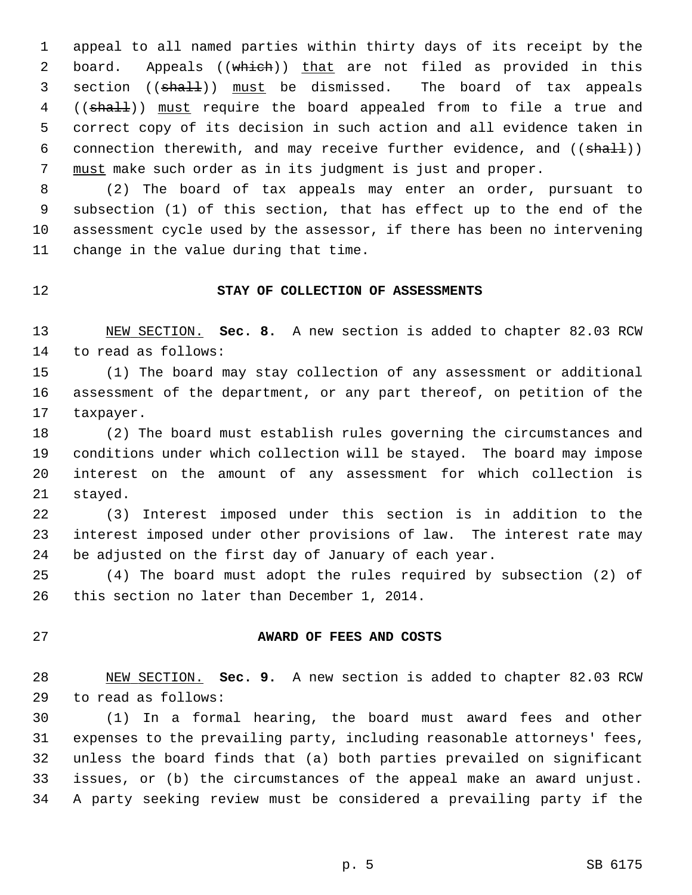1 appeal to all named parties within thirty days of its receipt by the 2 board. Appeals ((which)) that are not filed as provided in this 3 section ((shall)) must be dismissed. The board of tax appeals 4 ((shall)) must require the board appealed from to file a true and 5 correct copy of its decision in such action and all evidence taken in 6 connection therewith, and may receive further evidence, and  $((\text{sha11}))$ 7 must make such order as in its judgment is just and proper.

 8 (2) The board of tax appeals may enter an order, pursuant to 9 subsection (1) of this section, that has effect up to the end of the 10 assessment cycle used by the assessor, if there has been no intervening 11 change in the value during that time.

### 12 **STAY OF COLLECTION OF ASSESSMENTS**

13 NEW SECTION. **Sec. 8.** A new section is added to chapter 82.03 RCW 14 to read as follows:

15 (1) The board may stay collection of any assessment or additional 16 assessment of the department, or any part thereof, on petition of the 17 taxpayer.

18 (2) The board must establish rules governing the circumstances and 19 conditions under which collection will be stayed. The board may impose 20 interest on the amount of any assessment for which collection is 21 stayed.

22 (3) Interest imposed under this section is in addition to the 23 interest imposed under other provisions of law. The interest rate may 24 be adjusted on the first day of January of each year.

25 (4) The board must adopt the rules required by subsection (2) of 26 this section no later than December 1, 2014.

### 27 **AWARD OF FEES AND COSTS**

28 NEW SECTION. **Sec. 9.** A new section is added to chapter 82.03 RCW 29 to read as follows:

30 (1) In a formal hearing, the board must award fees and other 31 expenses to the prevailing party, including reasonable attorneys' fees, 32 unless the board finds that (a) both parties prevailed on significant 33 issues, or (b) the circumstances of the appeal make an award unjust. 34 A party seeking review must be considered a prevailing party if the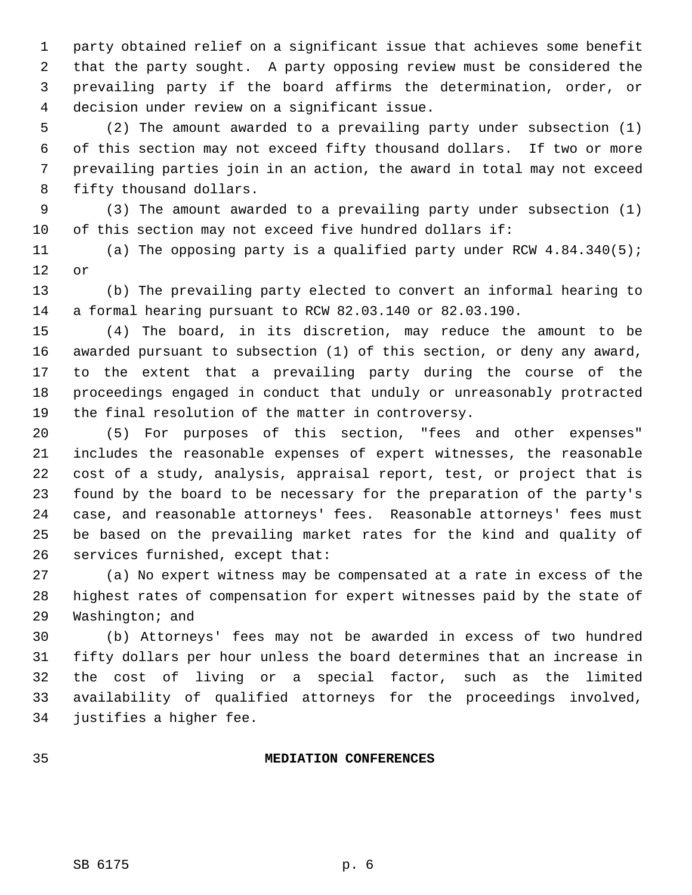1 party obtained relief on a significant issue that achieves some benefit 2 that the party sought. A party opposing review must be considered the 3 prevailing party if the board affirms the determination, order, or 4 decision under review on a significant issue.

 5 (2) The amount awarded to a prevailing party under subsection (1) 6 of this section may not exceed fifty thousand dollars. If two or more 7 prevailing parties join in an action, the award in total may not exceed 8 fifty thousand dollars.

 9 (3) The amount awarded to a prevailing party under subsection (1) 10 of this section may not exceed five hundred dollars if:

11 (a) The opposing party is a qualified party under RCW 4.84.340(5); 12 or

13 (b) The prevailing party elected to convert an informal hearing to 14 a formal hearing pursuant to RCW 82.03.140 or 82.03.190.

15 (4) The board, in its discretion, may reduce the amount to be 16 awarded pursuant to subsection (1) of this section, or deny any award, 17 to the extent that a prevailing party during the course of the 18 proceedings engaged in conduct that unduly or unreasonably protracted 19 the final resolution of the matter in controversy.

20 (5) For purposes of this section, "fees and other expenses" 21 includes the reasonable expenses of expert witnesses, the reasonable 22 cost of a study, analysis, appraisal report, test, or project that is 23 found by the board to be necessary for the preparation of the party's 24 case, and reasonable attorneys' fees. Reasonable attorneys' fees must 25 be based on the prevailing market rates for the kind and quality of 26 services furnished, except that:

27 (a) No expert witness may be compensated at a rate in excess of the 28 highest rates of compensation for expert witnesses paid by the state of 29 Washington; and

30 (b) Attorneys' fees may not be awarded in excess of two hundred 31 fifty dollars per hour unless the board determines that an increase in 32 the cost of living or a special factor, such as the limited 33 availability of qualified attorneys for the proceedings involved, 34 justifies a higher fee.

# 35 **MEDIATION CONFERENCES**

SB 6175 p. 6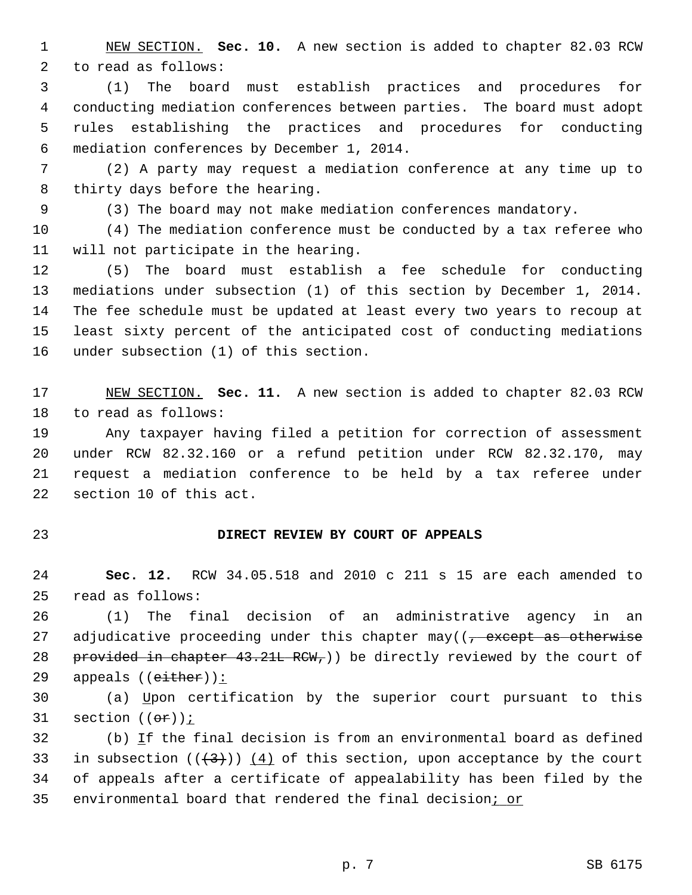1 NEW SECTION. **Sec. 10.** A new section is added to chapter 82.03 RCW 2 to read as follows:

 3 (1) The board must establish practices and procedures for 4 conducting mediation conferences between parties. The board must adopt 5 rules establishing the practices and procedures for conducting 6 mediation conferences by December 1, 2014.

 7 (2) A party may request a mediation conference at any time up to 8 thirty days before the hearing.

9 (3) The board may not make mediation conferences mandatory.

10 (4) The mediation conference must be conducted by a tax referee who 11 will not participate in the hearing.

12 (5) The board must establish a fee schedule for conducting 13 mediations under subsection (1) of this section by December 1, 2014. 14 The fee schedule must be updated at least every two years to recoup at 15 least sixty percent of the anticipated cost of conducting mediations 16 under subsection (1) of this section.

17 NEW SECTION. **Sec. 11.** A new section is added to chapter 82.03 RCW 18 to read as follows:

19 Any taxpayer having filed a petition for correction of assessment 20 under RCW 82.32.160 or a refund petition under RCW 82.32.170, may 21 request a mediation conference to be held by a tax referee under 22 section 10 of this act.

## 23 **DIRECT REVIEW BY COURT OF APPEALS**

24 **Sec. 12.** RCW 34.05.518 and 2010 c 211 s 15 are each amended to 25 read as follows:

26 (1) The final decision of an administrative agency in an 27 adjudicative proceeding under this chapter may( $\left( \frac{1}{2} \right)$  except as otherwise 28 provided in chapter  $43.21L$  RCW<sub>r</sub>)) be directly reviewed by the court of 29 appeals  $((either))$ :

30 (a) Upon certification by the superior court pursuant to this 31 section  $((\theta \mathbf{r}))$  ;

32 (b) If the final decision is from an environmental board as defined 33 in subsection  $((+3))$   $(4)$  of this section, upon acceptance by the court 34 of appeals after a certificate of appealability has been filed by the 35 environmental board that rendered the final decision; or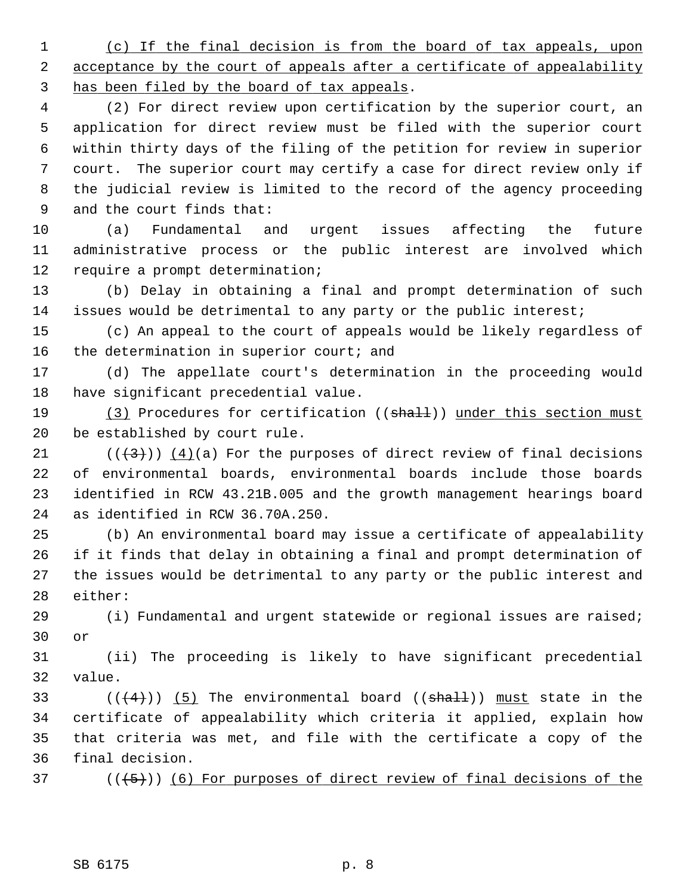1 (c) If the final decision is from the board of tax appeals, upon 2 acceptance by the court of appeals after a certificate of appealability 3 has been filed by the board of tax appeals.

 4 (2) For direct review upon certification by the superior court, an 5 application for direct review must be filed with the superior court 6 within thirty days of the filing of the petition for review in superior 7 court. The superior court may certify a case for direct review only if 8 the judicial review is limited to the record of the agency proceeding 9 and the court finds that:

10 (a) Fundamental and urgent issues affecting the future 11 administrative process or the public interest are involved which 12 require a prompt determination;

13 (b) Delay in obtaining a final and prompt determination of such 14 issues would be detrimental to any party or the public interest;

15 (c) An appeal to the court of appeals would be likely regardless of 16 the determination in superior court; and

17 (d) The appellate court's determination in the proceeding would 18 have significant precedential value.

19 (3) Procedures for certification ((shall)) under this section must 20 be established by court rule.

21  $((+3))$   $(4)(a)$  For the purposes of direct review of final decisions 22 of environmental boards, environmental boards include those boards 23 identified in RCW 43.21B.005 and the growth management hearings board 24 as identified in RCW 36.70A.250.

25 (b) An environmental board may issue a certificate of appealability 26 if it finds that delay in obtaining a final and prompt determination of 27 the issues would be detrimental to any party or the public interest and 28 either:

29 (i) Fundamental and urgent statewide or regional issues are raised; 30 or

31 (ii) The proceeding is likely to have significant precedential 32 value.

33 ( $(\frac{4}{4})$ ) (5) The environmental board (( $\frac{1}{5}$ ) must state in the 34 certificate of appealability which criteria it applied, explain how 35 that criteria was met, and file with the certificate a copy of the 36 final decision.

 $(1, 5)$  (( $(1, 5)$ )) (6) For purposes of direct review of final decisions of the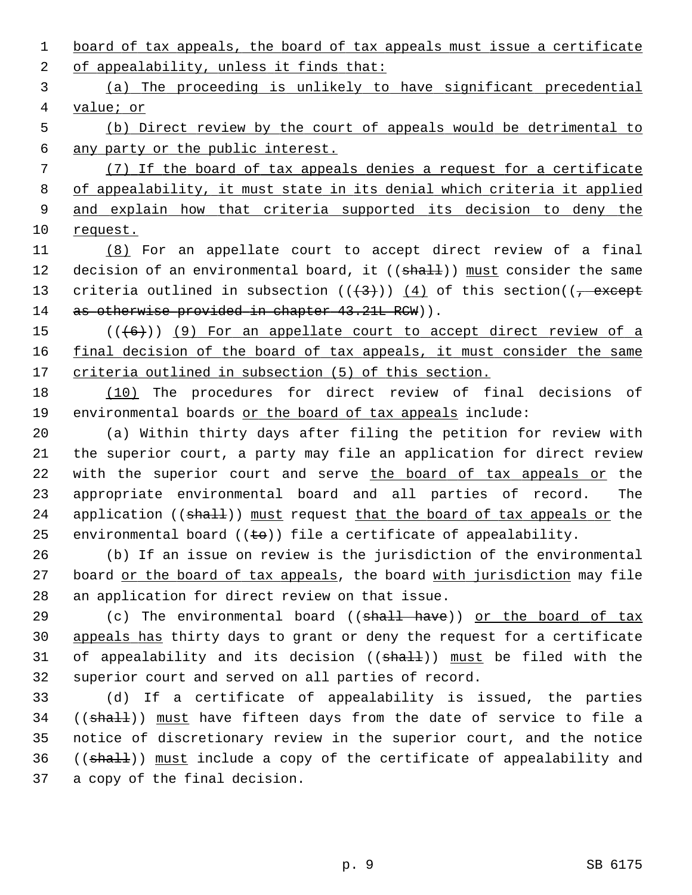1 board of tax appeals, the board of tax appeals must issue a certificate 2 of appealability, unless it finds that:

 3 (a) The proceeding is unlikely to have significant precedential 4 value; or

 5 (b) Direct review by the court of appeals would be detrimental to 6 any party or the public interest.

 (7) If the board of tax appeals denies a request for a certificate of appealability, it must state in its denial which criteria it applied and explain how that criteria supported its decision to deny the 10 request.

11 (8) For an appellate court to accept direct review of a final 12 decision of an environmental board, it ((shall)) must consider the same 13 criteria outlined in subsection  $((+3))$   $(4)$  of this section( $(-$  except 14 as otherwise provided in chapter 43.21L RCW)).

15  $((+6))$  (9) For an appellate court to accept direct review of a 16 final decision of the board of tax appeals, it must consider the same 17 criteria outlined in subsection (5) of this section.

18 (10) The procedures for direct review of final decisions of 19 environmental boards or the board of tax appeals include:

20 (a) Within thirty days after filing the petition for review with 21 the superior court, a party may file an application for direct review 22 with the superior court and serve the board of tax appeals or the 23 appropriate environmental board and all parties of record. The 24 application ((shall)) must request that the board of tax appeals or the 25 environmental board  $((\pm e))$  file a certificate of appealability.

26 (b) If an issue on review is the jurisdiction of the environmental 27 board or the board of tax appeals, the board with jurisdiction may file 28 an application for direct review on that issue.

29 (c) The environmental board (( $shall$  have)) or the board of tax 30 appeals has thirty days to grant or deny the request for a certificate 31 of appealability and its decision ((shall)) must be filed with the 32 superior court and served on all parties of record.

33 (d) If a certificate of appealability is issued, the parties 34 ((shall)) must have fifteen days from the date of service to file a 35 notice of discretionary review in the superior court, and the notice 36 ((shall)) must include a copy of the certificate of appealability and 37 a copy of the final decision.